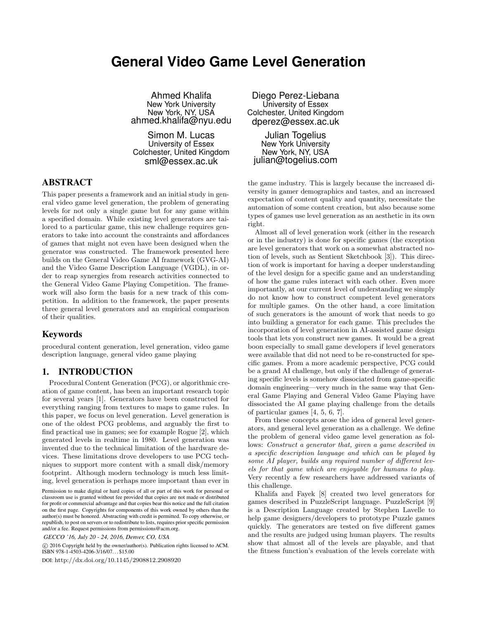# **General Video Game Level Generation**

Ahmed Khalifa New York University New York, NY, USA ahmed.khalifa@nyu.edu

Simon M. Lucas University of Essex Colchester, United Kingdom sml@essex.ac.uk

## ABSTRACT

This paper presents a framework and an initial study in general video game level generation, the problem of generating levels for not only a single game but for any game within a specified domain. While existing level generators are tailored to a particular game, this new challenge requires generators to take into account the constraints and affordances of games that might not even have been designed when the generator was constructed. The framework presented here builds on the General Video Game AI framework (GVG-AI) and the Video Game Description Language (VGDL), in order to reap synergies from research activities connected to the General Video Game Playing Competition. The framework will also form the basis for a new track of this competition. In addition to the framework, the paper presents three general level generators and an empirical comparison of their qualities.

## Keywords

procedural content generation, level generation, video game description language, general video game playing

## 1. INTRODUCTION

Procedural Content Generation (PCG), or algorithmic creation of game content, has been an important research topic for several years [1]. Generators have been constructed for everything ranging from textures to maps to game rules. In this paper, we focus on level generation. Level generation is one of the oldest PCG problems, and arguably the first to find practical use in games; see for example Rogue [2], which generated levels in realtime in 1980. Level generation was invented due to the technical limitation of the hardware devices. These limitations drove developers to use PCG techniques to support more content with a small disk/memory footprint. Although modern technology is much less limiting, level generation is perhaps more important than ever in

 c 2016 Copyright held by the owner/author(s). Publication rights licensed to ACM. ISBN 978-1-4503-4206-3/16/07. . . \$15.00

DOI: http://dx.doi.org/10.1145/2908812.2908920

Diego Perez-Liebana University of Essex Colchester, United Kingdom dperez@essex.ac.uk

Julian Togelius New York University New York, NY, USA julian@togelius.com

the game industry. This is largely because the increased diversity in gamer demographics and tastes, and an increased expectation of content quality and quantity, necessitate the automation of some content creation, but also because some types of games use level generation as an aesthetic in its own right.

Almost all of level generation work (either in the research or in the industry) is done for specific games (the exception are level generators that work on a somewhat abstracted notion of levels, such as Sentient Sketchbook [3]). This direction of work is important for having a deeper understanding of the level design for a specific game and an understanding of how the game rules interact with each other. Even more importantly, at our current level of understanding we simply do not know how to construct competent level generators for multiple games. On the other hand, a core limitation of such generators is the amount of work that needs to go into building a generator for each game. This precludes the incorporation of level generation in AI-assisted game design tools that lets you construct new games. It would be a great boon especially to small game developers if level generators were available that did not need to be re-constructed for specific games. From a more academic perspective, PCG could be a grand AI challenge, but only if the challenge of generating specific levels is somehow dissociated from game-specific domain engineering—very much in the same way that General Game Playing and General Video Game Playing have dissociated the AI game playing challenge from the details of particular games [4, 5, 6, 7].

From these concepts arose the idea of general level generators, and general level generation as a challenge. We define the problem of general video game level generation as follows: Construct a generator that, given a game described in a specific description language and which can be played by some AI player, builds any required number of different levels for that game which are enjoyable for humans to play. Very recently a few researchers have addressed variants of this challenge.

Khalifa and Fayek [8] created two level generators for games described in PuzzleScript language. PuzzleScript [9] is a Description Language created by Stephen Lavelle to help game designers/developers to prototype Puzzle games quickly. The generators are tested on five different games and the results are judged using human players. The results show that almost all of the levels are playable, and that the fitness function's evaluation of the levels correlate with

Permission to make digital or hard copies of all or part of this work for personal or classroom use is granted without fee provided that copies are not made or distributed for profit or commercial advantage and that copies bear this notice and the full citation on the first page. Copyrights for components of this work owned by others than the author(s) must be honored. Abstracting with credit is permitted. To copy otherwise, or republish, to post on servers or to redistribute to lists, requires prior specific permission and/or a fee. Request permissions from permissions@acm.org.

*GECCO '16, July 20 - 24, 2016, Denver, CO, USA*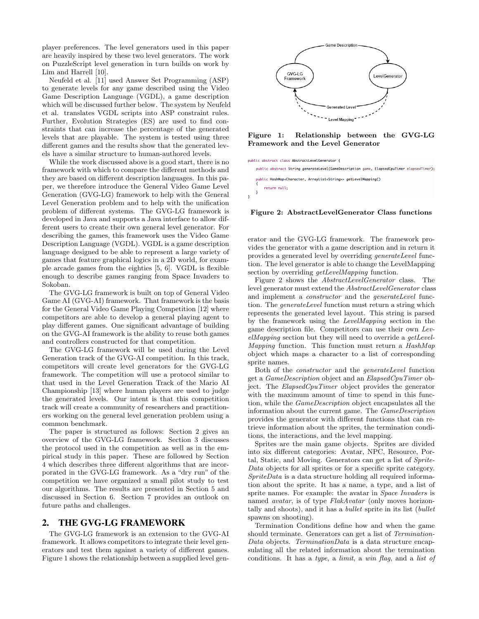player preferences. The level generators used in this paper are heavily inspired by these two level generators. The work on PuzzleScript level generation in turn builds on work by Lim and Harrell [10].

Neufeld et al. [11] used Answer Set Programming (ASP) to generate levels for any game described using the Video Game Description Language (VGDL), a game description which will be discussed further below. The system by Neufeld et al. translates VGDL scripts into ASP constraint rules. Further, Evolution Strategies (ES) are used to find constraints that can increase the percentage of the generated levels that are playable. The system is tested using three different games and the results show that the generated levels have a similar structure to human-authored levels.

While the work discussed above is a good start, there is no framework with which to compare the different methods and they are based on different description languages. In this paper, we therefore introduce the General Video Game Level Generation (GVG-LG) framework to help with the General Level Generation problem and to help with the unification problem of different systems. The GVG-LG framework is developed in Java and supports a Java interface to allow different users to create their own general level generator. For describing the games, this framework uses the Video Game Description Language (VGDL). VGDL is a game description language designed to be able to represent a large variety of games that feature graphical logics in a 2D world, for example arcade games from the eighties [5, 6]. VGDL is flexible enough to describe games ranging from Space Invaders to Sokoban.

The GVG-LG framework is built on top of General Video Game AI (GVG-AI) framework. That framework is the basis for the General Video Game Playing Competition [12] where competitors are able to develop a general playing agent to play different games. One significant advantage of building on the GVG-AI framework is the ability to reuse both games and controllers constructed for that competition.

The GVG-LG framework will be used during the Level Generation track of the GVG-AI competition. In this track, competitors will create level generators for the GVG-LG framework. The competition will use a protocol similar to that used in the Level Generation Track of the Mario AI Championship [13] where human players are used to judge the generated levels. Our intent is that this competition track will create a community of researchers and practitioners working on the general level generation problem using a common benchmark.

The paper is structured as follows: Section 2 gives an overview of the GVG-LG framework. Section 3 discusses the protocol used in the competition as well as in the empirical study in this paper. These are followed by Section 4 which describes three different algorithms that are incorporated in the GVG-LG framework. As a "dry run" of the competition we have organized a small pilot study to test our algorithms. The results are presented in Section 5 and discussed in Section 6. Section 7 provides an outlook on future paths and challenges.

## 2. THE GVG-LG FRAMEWORK

The GVG-LG framework is an extension to the GVG-AI framework. It allows competitors to integrate their level generators and test them against a variety of different games. Figure 1 shows the relationship between a supplied level gen-



Figure 1: Relationship between the GVG-LG Framework and the Level Generator

public abstract class AbstractLevelGenerator {

public abstract String generateLevel(GameDescription game, ElapsedCpuTimer elapsedTimer);

public HashMap<Character, ArrayList<String>> getLevelMapping()

return null;

#### Figure 2: AbstractLevelGenerator Class functions

erator and the GVG-LG framework. The framework provides the generator with a game description and in return it provides a generated level by overriding generateLevel function. The level generator is able to change the LevelMapping section by overriding *getLevelMapping* function.

Figure 2 shows the AbstractLevelGenerator class. The level generator must extend the AbstractLevelGenerator class and implement a constructor and the generateLevel function. The generateLevel function must return a string which represents the generated level layout. This string is parsed by the framework using the LevelMapping section in the game description file. Competitors can use their own LevelMapping section but they will need to override a getLevel-Mapping function. This function must return a HashMap object which maps a character to a list of corresponding sprite names.

Both of the constructor and the generateLevel function get a GameDescription object and an ElapsedCpuTimer object. The ElapsedCpuTimer object provides the generator with the maximum amount of time to spend in this function, while the GameDescription object encapsulates all the information about the current game. The GameDescription provides the generator with different functions that can retrieve information about the sprites, the termination conditions, the interactions, and the level mapping.

Sprites are the main game objects. Sprites are divided into six different categories: Avatar, NPC, Resource, Portal, Static, and Moving. Generators can get a list of Sprite-Data objects for all sprites or for a specific sprite category. SpriteData is a data structure holding all required information about the sprite. It has a name, a type, and a list of sprite names. For example: the avatar in Space Invaders is named *avatar*, is of type FlakAvatar (only moves horizontally and shoots), and it has a bullet sprite in its list (bullet spawns on shooting).

Termination Conditions define how and when the game should terminate. Generators can get a list of Termination-Data objects. TerminationData is a data structure encapsulating all the related information about the termination conditions. It has a type, a limit, a win flag, and a list of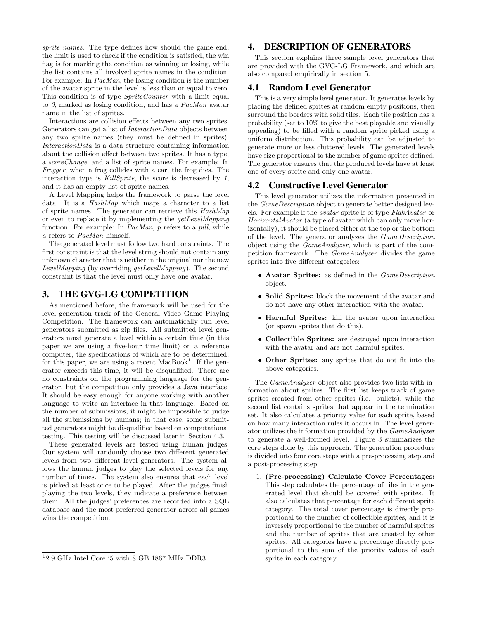sprite names. The type defines how should the game end, the limit is used to check if the condition is satisfied, the win flag is for marking the condition as winning or losing, while the list contains all involved sprite names in the condition. For example: In PacMan, the losing condition is the number of the avatar sprite in the level is less than or equal to zero. This condition is of type *SpriteCounter* with a limit equal to  $\theta$ , marked as losing condition, and has a *PacMan* avatar name in the list of sprites.

Interactions are collision effects between any two sprites. Generators can get a list of InteractionData objects between any two sprite names (they must be defined in sprites). InteractionData is a data structure containing information about the collision effect between two sprites. It has a type, a scoreChange, and a list of sprite names. For example: In Frogger, when a frog collides with a car, the frog dies. The interaction type is KillSprite, the score is decreased by 1, and it has an empty list of sprite names.

A Level Mapping helps the framework to parse the level data. It is a HashMap which maps a character to a list of sprite names. The generator can retrieve this HashMap or even to replace it by implementing the getLevelMapping function. For example: In  $PacMan$ , p refers to a pill, while a refers to PacMan himself.

The generated level must follow two hard constraints. The first constraint is that the level string should not contain any unknown character that is neither in the original nor the new LevelMapping (by overriding getLevelMapping). The second constraint is that the level must only have one avatar.

## 3. THE GVG-LG COMPETITION

As mentioned before, the framework will be used for the level generation track of the General Video Game Playing Competition. The framework can automatically run level generators submitted as zip files. All submitted level generators must generate a level within a certain time (in this paper we are using a five-hour time limit) on a reference computer, the specifications of which are to be determined; for this paper, we are using a recent  $MacBook<sup>1</sup>$ . If the generator exceeds this time, it will be disqualified. There are no constraints on the programming language for the generator, but the competition only provides a Java interface. It should be easy enough for anyone working with another language to write an interface in that language. Based on the number of submissions, it might be impossible to judge all the submissions by humans; in that case, some submitted generators might be disqualified based on computational testing. This testing will be discussed later in Section 4.3.

These generated levels are tested using human judges. Our system will randomly choose two different generated levels from two different level generators. The system allows the human judges to play the selected levels for any number of times. The system also ensures that each level is picked at least once to be played. After the judges finish playing the two levels, they indicate a preference between them. All the judges' preferences are recorded into a SQL database and the most preferred generator across all games wins the competition.

## 4. DESCRIPTION OF GENERATORS

This section explains three sample level generators that are provided with the GVG-LG Framework, and which are also compared empirically in section 5.

### 4.1 Random Level Generator

This is a very simple level generator. It generates levels by placing the defined sprites at random empty positions, then surround the borders with solid tiles. Each tile position has a probability (set to 10% to give the best playable and visually appealing) to be filled with a random sprite picked using a uniform distribution. This probability can be adjusted to generate more or less cluttered levels. The generated levels have size proportional to the number of game sprites defined. The generator ensures that the produced levels have at least one of every sprite and only one avatar.

#### 4.2 Constructive Level Generator

This level generator utilizes the information presented in the GameDescription object to generate better designed levels. For example if the avatar sprite is of type FlakAvatar or HorizontalAvatar (a type of avatar which can only move horizontally), it should be placed either at the top or the bottom of the level. The generator analyzes the GameDescription object using the GameAnalyzer, which is part of the competition framework. The GameAnalyzer divides the game sprites into five different categories:

- Avatar Sprites: as defined in the GameDescription object.
- Solid Sprites: block the movement of the avatar and do not have any other interaction with the avatar.
- Harmful Sprites: kill the avatar upon interaction (or spawn sprites that do this).
- Collectible Sprites: are destroyed upon interaction with the avatar and are not harmful sprites.
- Other Sprites: any sprites that do not fit into the above categories.

The *GameAnalyzer* object also provides two lists with information about sprites. The first list keeps track of game sprites created from other sprites (i.e. bullets), while the second list contains sprites that appear in the termination set. It also calculates a priority value for each sprite, based on how many interaction rules it occurs in. The level generator utilizes the information provided by the GameAnalyzer to generate a well-formed level. Figure 3 summarizes the core steps done by this approach. The generation procedure is divided into four core steps with a pre-processing step and a post-processing step:

1. (Pre-processing) Calculate Cover Percentages: This step calculates the percentage of tiles in the generated level that should be covered with sprites. It also calculates that percentage for each different sprite category. The total cover percentage is directly proportional to the number of collectible sprites, and it is inversely proportional to the number of harmful sprites and the number of sprites that are created by other sprites. All categories have a percentage directly proportional to the sum of the priority values of each sprite in each category.

<sup>1</sup> 2.9 GHz Intel Core i5 with 8 GB 1867 MHz DDR3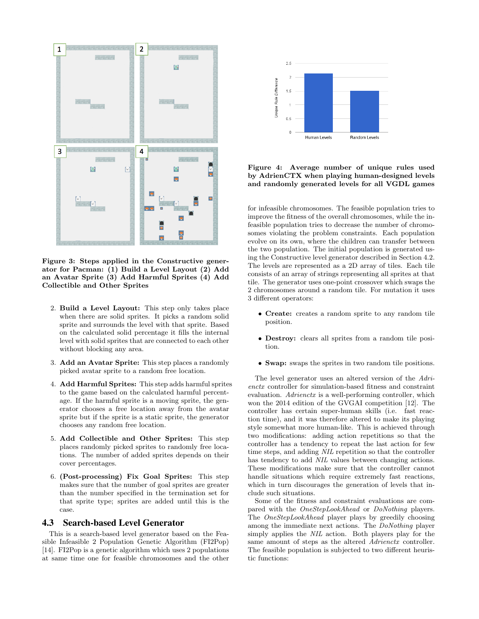

Figure 3: Steps applied in the Constructive generator for Pacman: (1) Build a Level Layout (2) Add an Avatar Sprite (3) Add Harmful Sprites (4) Add Collectible and Other Sprites

- 2. Build a Level Layout: This step only takes place when there are solid sprites. It picks a random solid sprite and surrounds the level with that sprite. Based on the calculated solid percentage it fills the internal level with solid sprites that are connected to each other without blocking any area.
- 3. Add an Avatar Sprite: This step places a randomly picked avatar sprite to a random free location.
- 4. Add Harmful Sprites: This step adds harmful sprites to the game based on the calculated harmful percentage. If the harmful sprite is a moving sprite, the generator chooses a free location away from the avatar sprite but if the sprite is a static sprite, the generator chooses any random free location.
- 5. Add Collectible and Other Sprites: This step places randomly picked sprites to randomly free locations. The number of added sprites depends on their cover percentages.
- 6. (Post-processing) Fix Goal Sprites: This step makes sure that the number of goal sprites are greater than the number specified in the termination set for that sprite type; sprites are added until this is the case.

## 4.3 Search-based Level Generator

This is a search-based level generator based on the Feasible Infeasible 2 Population Genetic Algorithm (FI2Pop) [14]. FI2Pop is a genetic algorithm which uses 2 populations at same time one for feasible chromosomes and the other



#### Figure 4: Average number of unique rules used by AdrienCTX when playing human-designed levels and randomly generated levels for all VGDL games

for infeasible chromosomes. The feasible population tries to improve the fitness of the overall chromosomes, while the infeasible population tries to decrease the number of chromosomes violating the problem constraints. Each population evolve on its own, where the children can transfer between the two population. The initial population is generated using the Constructive level generator described in Section 4.2. The levels are represented as a 2D array of tiles. Each tile consists of an array of strings representing all sprites at that tile. The generator uses one-point crossover which swaps the 2 chromosomes around a random tile. For mutation it uses 3 different operators:

- Create: creates a random sprite to any random tile position.
- Destroy: clears all sprites from a random tile position.
- Swap: swaps the sprites in two random tile positions.

The level generator uses an altered version of the Adrienctx controller for simulation-based fitness and constraint evaluation. Adrienctx is a well-performing controller, which won the 2014 edition of the GVGAI competition [12]. The controller has certain super-human skills (i.e. fast reaction time), and it was therefore altered to make its playing style somewhat more human-like. This is achieved through two modifications: adding action repetitions so that the controller has a tendency to repeat the last action for few time steps, and adding NIL repetition so that the controller has tendency to add NIL values between changing actions. These modifications make sure that the controller cannot handle situations which require extremely fast reactions, which in turn discourages the generation of levels that include such situations.

Some of the fitness and constraint evaluations are compared with the OneStepLookAhead or DoNothing players. The OneStepLookAhead player plays by greedily choosing among the immediate next actions. The DoNothing player simply applies the *NIL* action. Both players play for the same amount of steps as the altered Adrienctx controller. The feasible population is subjected to two different heuristic functions: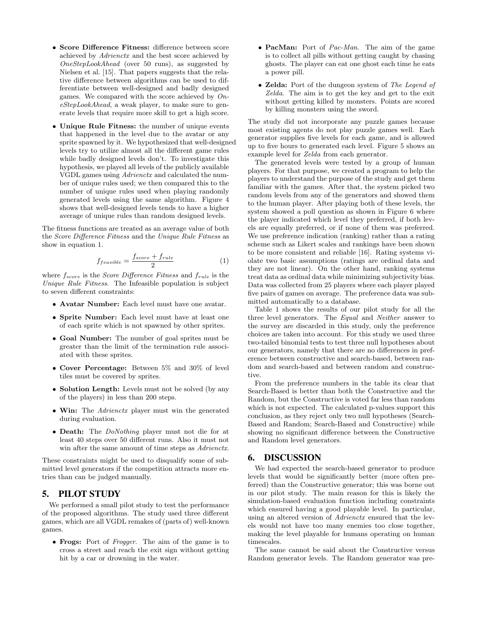- Score Difference Fitness: difference between score achieved by Adrienctx and the best score achieved by OneStepLookAhead (over 50 runs), as suggested by Nielsen et al. [15]. That papers suggests that the relative difference between algorithms can be used to differentiate between well-designed and badly designed games. We compared with the score achieved by OneStepLookAhead, a weak player, to make sure to generate levels that require more skill to get a high score.
- Unique Rule Fitness: the number of unique events that happened in the level due to the avatar or any sprite spawned by it. We hypothesized that well-designed levels try to utilize almost all the different game rules while badly designed levels don't. To investigate this hypothesis, we played all levels of the publicly available VGDL games using Adrienctx and calculated the number of unique rules used; we then compared this to the number of unique rules used when playing randomly generated levels using the same algorithm. Figure 4 shows that well-designed levels tends to have a higher average of unique rules than random designed levels.

The fitness functions are treated as an average value of both the Score Difference Fitness and the Unique Rule Fitness as show in equation 1.

$$
f_{feasible} = \frac{f_{score} + f_{rule}}{2}
$$
 (1)

where  $f_{score}$  is the *Score Difference Fitness* and  $f_{rule}$  is the Unique Rule Fitness. The Infeasible population is subject to seven different constraints:

- Avatar Number: Each level must have one avatar.
- Sprite Number: Each level must have at least one of each sprite which is not spawned by other sprites.
- Goal Number: The number of goal sprites must be greater than the limit of the termination rule associated with these sprites.
- Cover Percentage: Between 5% and 30% of level tiles must be covered by sprites.
- Solution Length: Levels must not be solved (by any of the players) in less than 200 steps.
- Win: The *Adrienctx* player must win the generated during evaluation.
- Death: The *DoNothing* player must not die for at least 40 steps over 50 different runs. Also it must not win after the same amount of time steps as *Adrienctx*.

These constraints might be used to disqualify some of submitted level generators if the competition attracts more entries than can be judged manually.

## 5. PILOT STUDY

We performed a small pilot study to test the performance of the proposed algorithms. The study used three different games, which are all VGDL remakes of (parts of) well-known games.

• Frogs: Port of *Frogger*. The aim of the game is to cross a street and reach the exit sign without getting hit by a car or drowning in the water.

- PacMan: Port of Pac-Man. The aim of the game is to collect all pills without getting caught by chasing ghosts. The player can eat one ghost each time he eats a power pill.
- Zelda: Port of the dungeon system of The Legend of Zelda. The aim is to get the key and get to the exit without getting killed by monsters. Points are scored by killing monsters using the sword.

The study did not incorporate any puzzle games because most existing agents do not play puzzle games well. Each generator supplies five levels for each game, and is allowed up to five hours to generated each level. Figure 5 shows an example level for Zelda from each generator.

The generated levels were tested by a group of human players. For that purpose, we created a program to help the players to understand the purpose of the study and get them familiar with the games. After that, the system picked two random levels from any of the generators and showed them to the human player. After playing both of these levels, the system showed a poll question as shown in Figure 6 where the player indicated which level they preferred, if both levels are equally preferred, or if none of them was preferred. We use preference indication (ranking) rather than a rating scheme such as Likert scales and rankings have been shown to be more consistent and reliable [16]. Rating systems violate two basic assumptions (ratings are ordinal data and they are not linear). On the other hand, ranking systems treat data as ordinal data while minimizing subjectivity bias. Data was collected from 25 players where each player played five pairs of games on average. The preference data was submitted automatically to a database.

Table 1 shows the results of our pilot study for all the three level generators. The Equal and Neither answer to the survey are discarded in this study, only the preference choices are taken into account. For this study we used three two-tailed binomial tests to test three null hypotheses about our generators, namely that there are no differences in preference between constructive and search-based, between random and search-based and between random and constructive.

From the preference numbers in the table its clear that Search-Based is better than both the Constructive and the Random, but the Constructive is voted far less than random which is not expected. The calculated p-values support this conclusion, as they reject only two null hypotheses (Search-Based and Random; Search-Based and Constructive) while showing no significant difference between the Constructive and Random level generators.

## 6. DISCUSSION

We had expected the search-based generator to produce levels that would be significantly better (more often preferred) than the Constructive generator; this was borne out in our pilot study. The main reason for this is likely the simulation-based evaluation function including constraints which ensured having a good playable level. In particular, using an altered version of Adrienctx ensured that the levels would not have too many enemies too close together, making the level playable for humans operating on human timescales.

The same cannot be said about the Constructive versus Random generator levels. The Random generator was pre-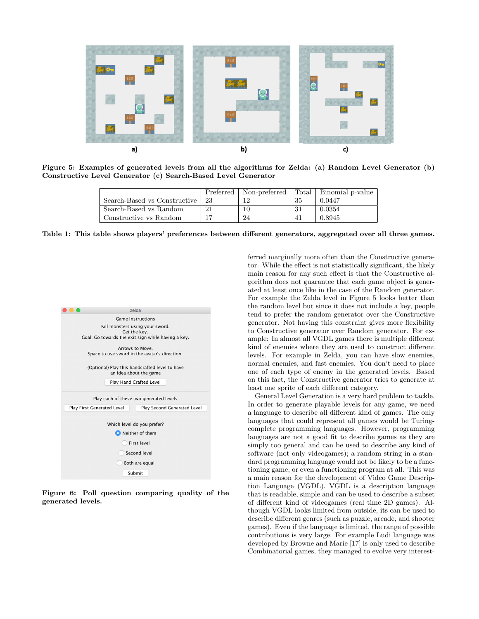

Figure 5: Examples of generated levels from all the algorithms for Zelda: (a) Random Level Generator (b) Constructive Level Generator (c) Search-Based Level Generator

|                              | Preferred | Non-preferred |    | Total   Binomial p-value |
|------------------------------|-----------|---------------|----|--------------------------|
| Search-Based vs Constructive | 23        |               | 35 | 0.0447                   |
| Search-Based vs Random       |           |               | 31 | 0.0354                   |
| Constructive vs Random       |           |               |    | 0.8945                   |

Table 1: This table shows players' preferences between different generators, aggregated over all three games.



Figure 6: Poll question comparing quality of the generated levels.

ferred marginally more often than the Constructive generator. While the effect is not statistically significant, the likely main reason for any such effect is that the Constructive algorithm does not guarantee that each game object is generated at least once like in the case of the Random generator. For example the Zelda level in Figure 5 looks better than the random level but since it does not include a key, people tend to prefer the random generator over the Constructive generator. Not having this constraint gives more flexibility to Constructive generator over Random generator. For example: In almost all VGDL games there is multiple different kind of enemies where they are used to construct different levels. For example in Zelda, you can have slow enemies, normal enemies, and fast enemies. You don't need to place one of each type of enemy in the generated levels. Based on this fact, the Constructive generator tries to generate at least one sprite of each different category.

General Level Generation is a very hard problem to tackle. In order to generate playable levels for any game, we need a language to describe all different kind of games. The only languages that could represent all games would be Turingcomplete programming languages. However, programming languages are not a good fit to describe games as they are simply too general and can be used to describe any kind of software (not only videogames); a random string in a standard programming language would not be likely to be a functioning game, or even a functioning program at all. This was a main reason for the development of Video Game Description Language (VGDL). VGDL is a description language that is readable, simple and can be used to describe a subset of different kind of videogames (real time 2D games). Although VGDL looks limited from outside, its can be used to describe different genres (such as puzzle, arcade, and shooter games). Even if the language is limited, the range of possible contributions is very large. For example Ludi language was developed by Browne and Marie [17] is only used to describe Combinatorial games, they managed to evolve very interest